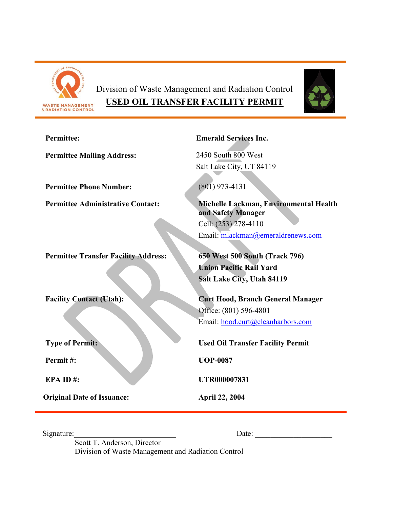

# Division of Waste Management and Radiation Control **USED OIL TRANSFER FACILITY PERMIT**



| <b>Permittee:</b>                           | <b>Emerald Services Inc.</b>                                 |
|---------------------------------------------|--------------------------------------------------------------|
| <b>Permittee Mailing Address:</b>           | 2450 South 800 West                                          |
|                                             | Salt Lake City, UT 84119                                     |
| <b>Permittee Phone Number:</b>              | $(801)$ 973-4131                                             |
| <b>Permittee Administrative Contact:</b>    | Michelle Lackman, Environmental Health<br>and Safety Manager |
|                                             | Cell: (253) 278-4110                                         |
|                                             | Email: mlackman@emeraldrenews.com                            |
| <b>Permittee Transfer Facility Address:</b> | 650 West 500 South (Track 796)                               |
|                                             | <b>Union Pacific Rail Yard</b>                               |
|                                             | Salt Lake City, Utah 84119                                   |
|                                             |                                                              |
| <b>Facility Contact (Utah):</b>             | <b>Curt Hood, Branch General Manager</b>                     |
|                                             | Office: (801) 596-4801<br>Email: hood.curt@cleanharbors.com  |
|                                             |                                                              |
| <b>Type of Permit:</b>                      | <b>Used Oil Transfer Facility Permit</b>                     |
| Permit#:                                    | <b>UOP-0087</b>                                              |
| EPA ID#:                                    | <b>UTR000007831</b>                                          |
| <b>Original Date of Issuance:</b>           | <b>April 22, 2004</b>                                        |

Signature: Date: \_\_\_\_\_\_\_\_\_\_\_\_\_\_\_\_\_\_\_\_

Scott T. Anderson, Director Division of Waste Management and Radiation Control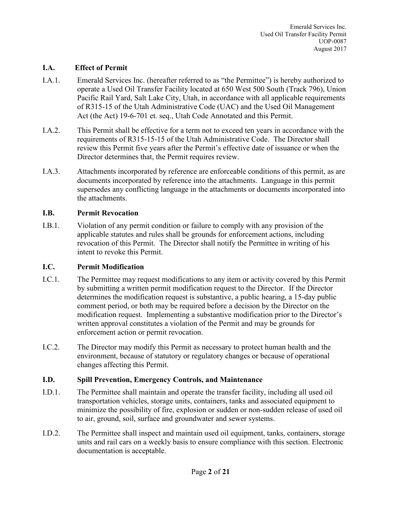#### **I.A. Effect of Permit**

- I.A.1. Emerald Services Inc. (hereafter referred to as "the Permittee") is hereby authorized to operate a Used Oil Transfer Facility located at 650 West 500 South (Track 796), Union Pacific Rail Yard, Salt Lake City, Utah, in accordance with all applicable requirements of R315-15 of the Utah Administrative Code (UAC) and the Used Oil Management Act (the Act) 19-6-701 et. seq., Utah Code Annotated and this Permit.
- I.A.2. This Permit shall be effective for a term not to exceed ten years in accordance with the requirements of R315-15-15 of the Utah Administrative Code. The Director shall review this Permit five years after the Permit's effective date of issuance or when the Director determines that, the Permit requires review.
- I.A.3. Attachments incorporated by reference are enforceable conditions of this permit, as are documents incorporated by reference into the attachments. Language in this permit supersedes any conflicting language in the attachments or documents incorporated into the attachments.

#### **I.B. Permit Revocation**

I.B.1. Violation of any permit condition or failure to comply with any provision of the applicable statutes and rules shall be grounds for enforcement actions, including revocation of this Permit. The Director shall notify the Permittee in writing of his intent to revoke this Permit.

#### **I.C. Permit Modification**

- I.C.1. The Permittee may request modifications to any item or activity covered by this Permit by submitting a written permit modification request to the Director. If the Director determines the modification request is substantive, a public hearing, a 15-day public comment period, or both may be required before a decision by the Director on the modification request. Implementing a substantive modification prior to the Director's written approval constitutes a violation of the Permit and may be grounds for enforcement action or permit revocation.
- I.C.2. The Director may modify this Permit as necessary to protect human health and the environment, because of statutory or regulatory changes or because of operational changes affecting this Permit.

#### **I.D. Spill Prevention, Emergency Controls, and Maintenance**

- I.D.1. The Permittee shall maintain and operate the transfer facility, including all used oil transportation vehicles, storage units, containers, tanks and associated equipment to minimize the possibility of fire, explosion or sudden or non-sudden release of used oil to air, ground, soil, surface and groundwater and sewer systems.
- I.D.2. The Permittee shall inspect and maintain used oil equipment, tanks, containers, storage units and rail cars on a weekly basis to ensure compliance with this section. Electronic documentation is acceptable.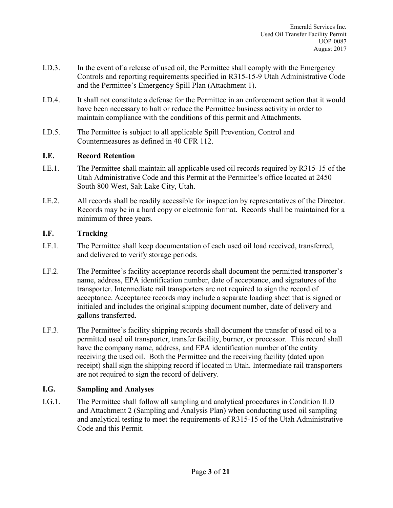- I.D.3. In the event of a release of used oil, the Permittee shall comply with the Emergency Controls and reporting requirements specified in R315-15-9 Utah Administrative Code and the Permittee's Emergency Spill Plan (Attachment 1).
- I.D.4. It shall not constitute a defense for the Permittee in an enforcement action that it would have been necessary to halt or reduce the Permittee business activity in order to maintain compliance with the conditions of this permit and Attachments.
- I.D.5. The Permittee is subject to all applicable Spill Prevention, Control and Countermeasures as defined in 40 CFR 112.

## **I.E. Record Retention**

- I.E.1. The Permittee shall maintain all applicable used oil records required by R315-15 of the Utah Administrative Code and this Permit at the Permittee's office located at 2450 South 800 West, Salt Lake City, Utah.
- I.E.2. All records shall be readily accessible for inspection by representatives of the Director. Records may be in a hard copy or electronic format. Records shall be maintained for a minimum of three years.

## **I.F. Tracking**

- I.F.1. The Permittee shall keep documentation of each used oil load received, transferred, and delivered to verify storage periods.
- I.F.2. The Permittee's facility acceptance records shall document the permitted transporter's name, address, EPA identification number, date of acceptance, and signatures of the transporter. Intermediate rail transporters are not required to sign the record of acceptance. Acceptance records may include a separate loading sheet that is signed or initialed and includes the original shipping document number, date of delivery and gallons transferred.
- I.F.3. The Permittee's facility shipping records shall document the transfer of used oil to a permitted used oil transporter, transfer facility, burner, or processor. This record shall have the company name, address, and EPA identification number of the entity receiving the used oil. Both the Permittee and the receiving facility (dated upon receipt) shall sign the shipping record if located in Utah. Intermediate rail transporters are not required to sign the record of delivery.

## **I.G. Sampling and Analyses**

I.G.1. The Permittee shall follow all sampling and analytical procedures in Condition II.D and Attachment 2 (Sampling and Analysis Plan) when conducting used oil sampling and analytical testing to meet the requirements of R315-15 of the Utah Administrative Code and this Permit.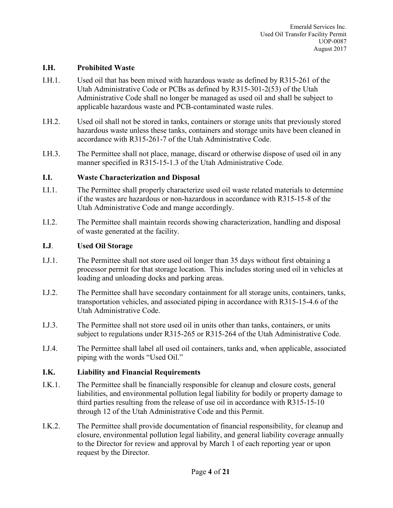#### **I.H. Prohibited Waste**

- I.H.1. Used oil that has been mixed with hazardous waste as defined by R315-261 of the Utah Administrative Code or PCBs as defined by R315-301-2(53) of the Utah Administrative Code shall no longer be managed as used oil and shall be subject to applicable hazardous waste and PCB-contaminated waste rules.
- I.H.2. Used oil shall not be stored in tanks, containers or storage units that previously stored hazardous waste unless these tanks, containers and storage units have been cleaned in accordance with R315-261-7 of the Utah Administrative Code.
- I.H.3. The Permittee shall not place, manage, discard or otherwise dispose of used oil in any manner specified in R315-15-1.3 of the Utah Administrative Code.

#### **I.I. Waste Characterization and Disposal**

- I.I.1. The Permittee shall properly characterize used oil waste related materials to determine if the wastes are hazardous or non-hazardous in accordance with R315-15-8 of the Utah Administrative Code and mange accordingly.
- I.I.2. The Permittee shall maintain records showing characterization, handling and disposal of waste generated at the facility.

#### **I.J**. **Used Oil Storage**

- I.J.1. The Permittee shall not store used oil longer than 35 days without first obtaining a processor permit for that storage location. This includes storing used oil in vehicles at loading and unloading docks and parking areas.
- I.J.2. The Permittee shall have secondary containment for all storage units, containers, tanks, transportation vehicles, and associated piping in accordance with R315-15-4.6 of the Utah Administrative Code.
- I.J.3. The Permittee shall not store used oil in units other than tanks, containers, or units subject to regulations under R315-265 or R315-264 of the Utah Administrative Code.
- I.J.4. The Permittee shall label all used oil containers, tanks and, when applicable, associated piping with the words "Used Oil."

#### **I.K. Liability and Financial Requirements**

- I.K.1. The Permittee shall be financially responsible for cleanup and closure costs, general liabilities, and environmental pollution legal liability for bodily or property damage to third parties resulting from the release of use oil in accordance with R315-15-10 through 12 of the Utah Administrative Code and this Permit.
- I.K.2. The Permittee shall provide documentation of financial responsibility, for cleanup and closure, environmental pollution legal liability, and general liability coverage annually to the Director for review and approval by March 1 of each reporting year or upon request by the Director.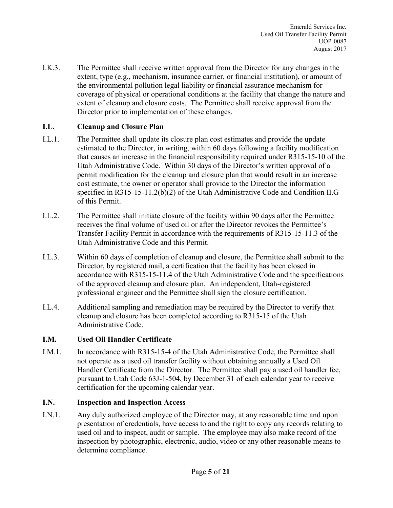I.K.3. The Permittee shall receive written approval from the Director for any changes in the extent, type (e.g., mechanism, insurance carrier, or financial institution), or amount of the environmental pollution legal liability or financial assurance mechanism for coverage of physical or operational conditions at the facility that change the nature and extent of cleanup and closure costs. The Permittee shall receive approval from the Director prior to implementation of these changes.

## **I.L. Cleanup and Closure Plan**

- I.L.1. The Permittee shall update its closure plan cost estimates and provide the update estimated to the Director, in writing, within 60 days following a facility modification that causes an increase in the financial responsibility required under R315-15-10 of the Utah Administrative Code. Within 30 days of the Director's written approval of a permit modification for the cleanup and closure plan that would result in an increase cost estimate, the owner or operator shall provide to the Director the information specified in R315-15-11.2(b)(2) of the Utah Administrative Code and Condition II.G of this Permit.
- I.L.2. The Permittee shall initiate closure of the facility within 90 days after the Permittee receives the final volume of used oil or after the Director revokes the Permittee's Transfer Facility Permit in accordance with the requirements of R315-15-11.3 of the Utah Administrative Code and this Permit.
- I.L.3. Within 60 days of completion of cleanup and closure, the Permittee shall submit to the Director, by registered mail, a certification that the facility has been closed in accordance with R315-15-11.4 of the Utah Administrative Code and the specifications of the approved cleanup and closure plan. An independent, Utah-registered professional engineer and the Permittee shall sign the closure certification.
- I.L.4. Additional sampling and remediation may be required by the Director to verify that cleanup and closure has been completed according to R315-15 of the Utah Administrative Code.

#### **I.M. Used Oil Handler Certificate**

I.M.1. In accordance with R315-15-4 of the Utah Administrative Code, the Permittee shall not operate as a used oil transfer facility without obtaining annually a Used Oil Handler Certificate from the Director. The Permittee shall pay a used oil handler fee, pursuant to Utah Code 63J-1-504, by December 31 of each calendar year to receive certification for the upcoming calendar year.

#### **I.N. Inspection and Inspection Access**

I.N.1. Any duly authorized employee of the Director may, at any reasonable time and upon presentation of credentials, have access to and the right to copy any records relating to used oil and to inspect, audit or sample. The employee may also make record of the inspection by photographic, electronic, audio, video or any other reasonable means to determine compliance.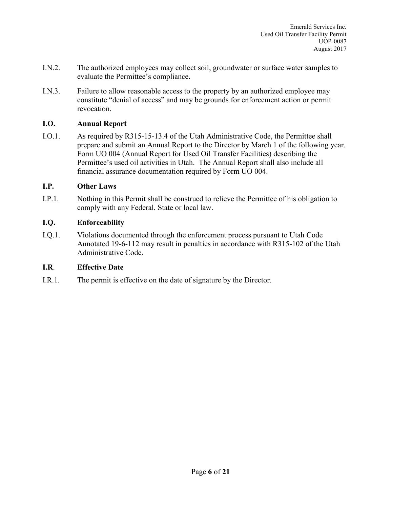- I.N.2. The authorized employees may collect soil, groundwater or surface water samples to evaluate the Permittee's compliance.
- I.N.3. Failure to allow reasonable access to the property by an authorized employee may constitute "denial of access" and may be grounds for enforcement action or permit revocation.

#### **I.O. Annual Report**

I.O.1. As required by R315-15-13.4 of the Utah Administrative Code, the Permittee shall prepare and submit an Annual Report to the Director by March 1 of the following year. Form UO 004 (Annual Report for Used Oil Transfer Facilities) describing the Permittee's used oil activities in Utah. The Annual Report shall also include all financial assurance documentation required by Form UO 004.

#### **I.P. Other Laws**

I.P.1. Nothing in this Permit shall be construed to relieve the Permittee of his obligation to comply with any Federal, State or local law.

#### **I.Q. Enforceability**

I.Q.1. Violations documented through the enforcement process pursuant to Utah Code Annotated 19-6-112 may result in penalties in accordance with R315-102 of the Utah Administrative Code.

#### **I.R**. **Effective Date**

I.R.1. The permit is effective on the date of signature by the Director.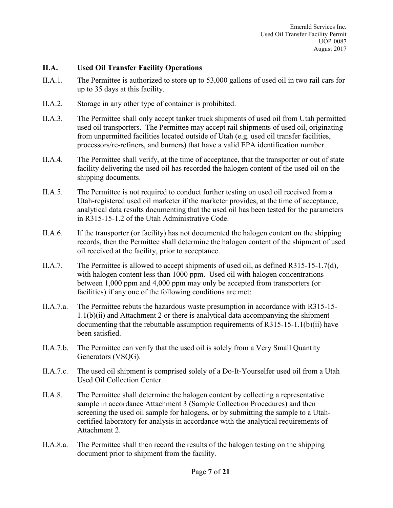#### **II.A. Used Oil Transfer Facility Operations**

- II.A.1. The Permittee is authorized to store up to 53,000 gallons of used oil in two rail cars for up to 35 days at this facility.
- II.A.2. Storage in any other type of container is prohibited.
- II.A.3. The Permittee shall only accept tanker truck shipments of used oil from Utah permitted used oil transporters. The Permittee may accept rail shipments of used oil, originating from unpermitted facilities located outside of Utah (e.g. used oil transfer facilities, processors/re-refiners, and burners) that have a valid EPA identification number.
- II.A.4. The Permittee shall verify, at the time of acceptance, that the transporter or out of state facility delivering the used oil has recorded the halogen content of the used oil on the shipping documents.
- II.A.5. The Permittee is not required to conduct further testing on used oil received from a Utah-registered used oil marketer if the marketer provides, at the time of acceptance, analytical data results documenting that the used oil has been tested for the parameters in R315-15-1.2 of the Utah Administrative Code.
- II.A.6. If the transporter (or facility) has not documented the halogen content on the shipping records, then the Permittee shall determine the halogen content of the shipment of used oil received at the facility, prior to acceptance.
- II.A.7. The Permittee is allowed to accept shipments of used oil, as defined R315-15-1.7(d), with halogen content less than 1000 ppm. Used oil with halogen concentrations between 1,000 ppm and 4,000 ppm may only be accepted from transporters (or facilities) if any one of the following conditions are met:
- II.A.7.a. The Permittee rebuts the hazardous waste presumption in accordance with R315-15-  $1.1(b)(ii)$  and Attachment 2 or there is analytical data accompanying the shipment documenting that the rebuttable assumption requirements of R315-15-1.1(b)(ii) have been satisfied.
- II.A.7.b. The Permittee can verify that the used oil is solely from a Very Small Quantity Generators (VSQG).
- II.A.7.c. The used oil shipment is comprised solely of a Do-It-Yourselfer used oil from a Utah Used Oil Collection Center.
- II.A.8. The Permittee shall determine the halogen content by collecting a representative sample in accordance Attachment 3 (Sample Collection Procedures) and then screening the used oil sample for halogens, or by submitting the sample to a Utahcertified laboratory for analysis in accordance with the analytical requirements of Attachment 2.
- II.A.8.a. The Permittee shall then record the results of the halogen testing on the shipping document prior to shipment from the facility.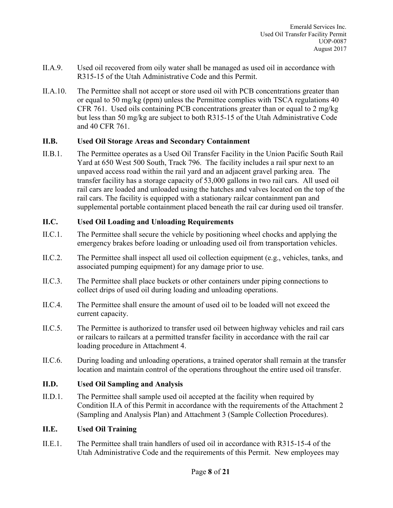- II.A.9. Used oil recovered from oily water shall be managed as used oil in accordance with R315-15 of the Utah Administrative Code and this Permit.
- II.A.10. The Permittee shall not accept or store used oil with PCB concentrations greater than or equal to 50 mg/kg (ppm) unless the Permittee complies with TSCA regulations 40 CFR 761. Used oils containing PCB concentrations greater than or equal to 2 mg/kg but less than 50 mg/kg are subject to both R315-15 of the Utah Administrative Code and 40 CFR 761.

#### **II.B. Used Oil Storage Areas and Secondary Containment**

II.B.1. The Permittee operates as a Used Oil Transfer Facility in the Union Pacific South Rail Yard at 650 West 500 South, Track 796. The facility includes a rail spur next to an unpaved access road within the rail yard and an adjacent gravel parking area. The transfer facility has a storage capacity of 53,000 gallons in two rail cars. All used oil rail cars are loaded and unloaded using the hatches and valves located on the top of the rail cars. The facility is equipped with a stationary railcar containment pan and supplemental portable containment placed beneath the rail car during used oil transfer.

#### **II.C. Used Oil Loading and Unloading Requirements**

- II.C.1. The Permittee shall secure the vehicle by positioning wheel chocks and applying the emergency brakes before loading or unloading used oil from transportation vehicles.
- II.C.2. The Permittee shall inspect all used oil collection equipment (e.g., vehicles, tanks, and associated pumping equipment) for any damage prior to use.
- II.C.3. The Permittee shall place buckets or other containers under piping connections to collect drips of used oil during loading and unloading operations.
- II.C.4. The Permittee shall ensure the amount of used oil to be loaded will not exceed the current capacity.
- II.C.5. The Permittee is authorized to transfer used oil between highway vehicles and rail cars or railcars to railcars at a permitted transfer facility in accordance with the rail car loading procedure in Attachment 4.
- II.C.6. During loading and unloading operations, a trained operator shall remain at the transfer location and maintain control of the operations throughout the entire used oil transfer.

#### **II.D. Used Oil Sampling and Analysis**

II.D.1. The Permittee shall sample used oil accepted at the facility when required by Condition II.A of this Permit in accordance with the requirements of the Attachment 2 (Sampling and Analysis Plan) and Attachment 3 (Sample Collection Procedures).

#### **II.E. Used Oil Training**

II.E.1. The Permittee shall train handlers of used oil in accordance with R315-15-4 of the Utah Administrative Code and the requirements of this Permit. New employees may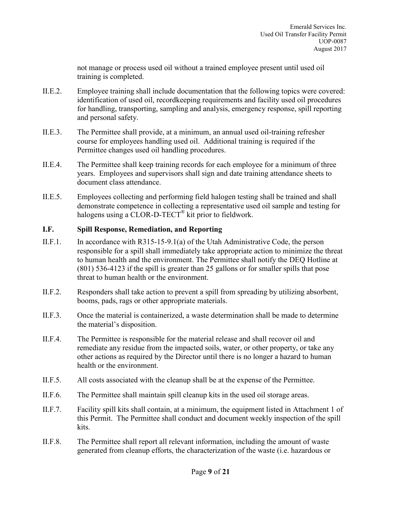not manage or process used oil without a trained employee present until used oil training is completed.

- II.E.2. Employee training shall include documentation that the following topics were covered: identification of used oil, recordkeeping requirements and facility used oil procedures for handling, transporting, sampling and analysis, emergency response, spill reporting and personal safety.
- II.E.3. The Permittee shall provide, at a minimum, an annual used oil-training refresher course for employees handling used oil. Additional training is required if the Permittee changes used oil handling procedures.
- II.E.4. The Permittee shall keep training records for each employee for a minimum of three years. Employees and supervisors shall sign and date training attendance sheets to document class attendance.
- II.E.5. Employees collecting and performing field halogen testing shall be trained and shall demonstrate competence in collecting a representative used oil sample and testing for halogens using a CLOR-D-TECT<sup>®</sup> kit prior to fieldwork.

#### **I.F. Spill Response, Remediation, and Reporting**

- II.F.1. In accordance with R315-15-9.1(a) of the Utah Administrative Code, the person responsible for a spill shall immediately take appropriate action to minimize the threat to human health and the environment. The Permittee shall notify the DEQ Hotline at (801) 536-4123 if the spill is greater than 25 gallons or for smaller spills that pose threat to human health or the environment.
- II.F.2. Responders shall take action to prevent a spill from spreading by utilizing absorbent, booms, pads, rags or other appropriate materials.
- II.F.3. Once the material is containerized, a waste determination shall be made to determine the material's disposition.
- II.F.4. The Permittee is responsible for the material release and shall recover oil and remediate any residue from the impacted soils, water, or other property, or take any other actions as required by the Director until there is no longer a hazard to human health or the environment.
- II.F.5. All costs associated with the cleanup shall be at the expense of the Permittee.
- II.F.6. The Permittee shall maintain spill cleanup kits in the used oil storage areas.
- II.F.7. Facility spill kits shall contain, at a minimum, the equipment listed in Attachment 1 of this Permit. The Permittee shall conduct and document weekly inspection of the spill kits.
- II.F.8. The Permittee shall report all relevant information, including the amount of waste generated from cleanup efforts, the characterization of the waste (i.e. hazardous or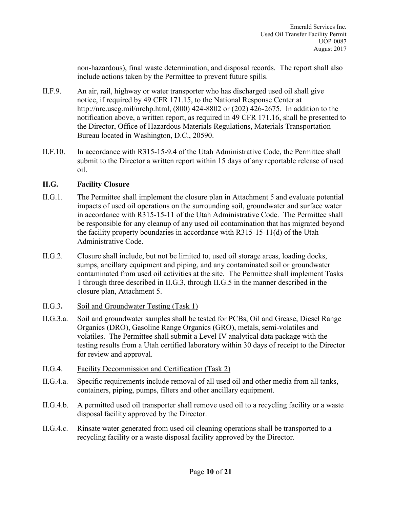non-hazardous), final waste determination, and disposal records. The report shall also include actions taken by the Permittee to prevent future spills.

- II.F.9. An air, rail, highway or water transporter who has discharged used oil shall give notice, if required by 49 CFR 171.15, to the National Response Center at http://nrc.uscg.mil/nrchp.html, (800) 424-8802 or (202) 426-2675. In addition to the notification above, a written report, as required in 49 CFR 171.16, shall be presented to the Director, Office of Hazardous Materials Regulations, Materials Transportation Bureau located in Washington, D.C., 20590.
- II.F.10. In accordance with R315-15-9.4 of the Utah Administrative Code, the Permittee shall submit to the Director a written report within 15 days of any reportable release of used oil.

#### **II.G. Facility Closure**

- II.G.1. The Permittee shall implement the closure plan in Attachment 5 and evaluate potential impacts of used oil operations on the surrounding soil, groundwater and surface water in accordance with R315-15-11 of the Utah Administrative Code. The Permittee shall be responsible for any cleanup of any used oil contamination that has migrated beyond the facility property boundaries in accordance with R315-15-11(d) of the Utah Administrative Code.
- II.G.2. Closure shall include, but not be limited to, used oil storage areas, loading docks, sumps, ancillary equipment and piping, and any contaminated soil or groundwater contaminated from used oil activities at the site. The Permittee shall implement Tasks 1 through three described in II.G.3, through II.G.5 in the manner described in the closure plan, Attachment 5.
- II.G.3**.** Soil and Groundwater Testing (Task 1)
- II.G.3.a. Soil and groundwater samples shall be tested for PCBs, Oil and Grease, Diesel Range Organics (DRO), Gasoline Range Organics (GRO), metals, semi-volatiles and volatiles. The Permittee shall submit a Level IV analytical data package with the testing results from a Utah certified laboratory within 30 days of receipt to the Director for review and approval.
- II.G.4. Facility Decommission and Certification (Task 2)
- II.G.4.a. Specific requirements include removal of all used oil and other media from all tanks, containers, piping, pumps, filters and other ancillary equipment.
- II.G.4.b. A permitted used oil transporter shall remove used oil to a recycling facility or a waste disposal facility approved by the Director.
- II.G.4.c. Rinsate water generated from used oil cleaning operations shall be transported to a recycling facility or a waste disposal facility approved by the Director.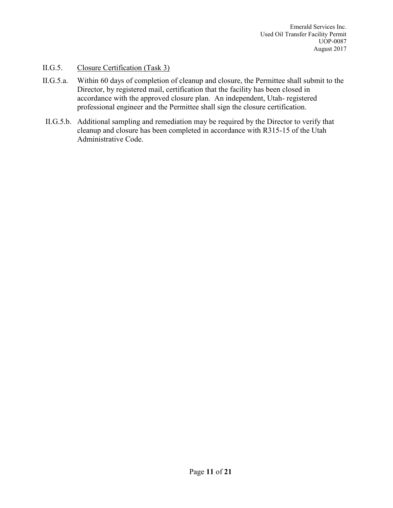## II.G.5. Closure Certification (Task 3)

- II.G.5.a. Within 60 days of completion of cleanup and closure, the Permittee shall submit to the Director, by registered mail, certification that the facility has been closed in accordance with the approved closure plan. An independent, Utah- registered professional engineer and the Permittee shall sign the closure certification.
- II.G.5.b. Additional sampling and remediation may be required by the Director to verify that cleanup and closure has been completed in accordance with R315-15 of the Utah Administrative Code.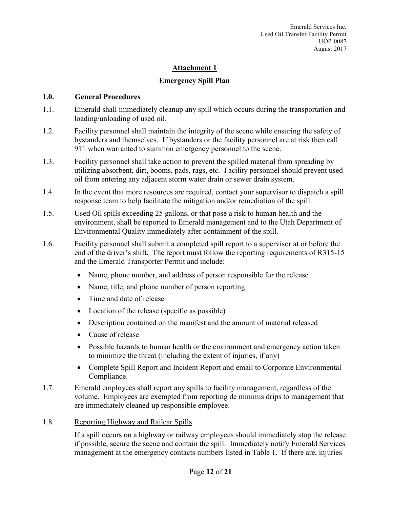# **Emergency Spill Plan**

## **1.0. General Procedures**

- 1.1. Emerald shall immediately cleanup any spill which occurs during the transportation and loading/unloading of used oil.
- 1.2. Facility personnel shall maintain the integrity of the scene while ensuring the safety of bystanders and themselves. If bystanders or the facility personnel are at risk then call 911 when warranted to summon emergency personnel to the scene.
- 1.3. Facility personnel shall take action to prevent the spilled material from spreading by utilizing absorbent, dirt, booms, pads, rags, etc. Facility personnel should prevent used oil from entering any adjacent storm water drain or sewer drain system.
- 1.4. In the event that more resources are required, contact your supervisor to dispatch a spill response team to help facilitate the mitigation and/or remediation of the spill.
- 1.5. Used Oil spills exceeding 25 gallons, or that pose a risk to human health and the environment, shall be reported to Emerald management and to the Utah Department of Environmental Quality immediately after containment of the spill.
- 1.6. Facility personnel shall submit a completed spill report to a supervisor at or before the end of the driver's shift. The report must follow the reporting requirements of R315-15 and the Emerald Transporter Permit and include:
	- Name, phone number, and address of person responsible for the release
	- Name, title, and phone number of person reporting
	- Time and date of release
	- Location of the release (specific as possible)
	- Description contained on the manifest and the amount of material released
	- Cause of release
	- Possible hazards to human health or the environment and emergency action taken to minimize the threat (including the extent of injuries, if any)
	- Complete Spill Report and Incident Report and email to Corporate Environmental Compliance.
- 1.7. Emerald employees shall report any spills to facility management, regardless of the volume. Employees are exempted from reporting de minimis drips to management that are immediately cleaned up responsible employee.

# 1.8. Reporting Highway and Railcar Spills

If a spill occurs on a highway or railway employees should immediately stop the release if possible, secure the scene and contain the spill. Immediately notify Emerald Services management at the emergency contacts numbers listed in Table 1. If there are, injuries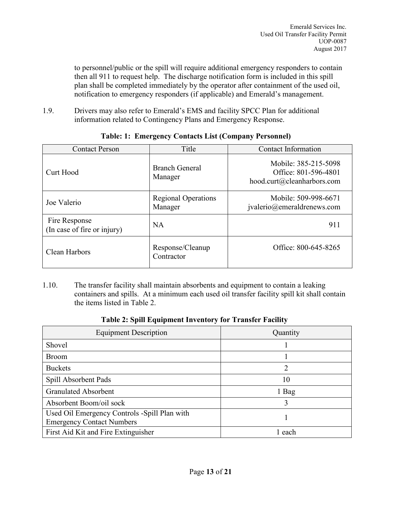to personnel/public or the spill will require additional emergency responders to contain then all 911 to request help. The discharge notification form is included in this spill plan shall be completed immediately by the operator after containment of the used oil, notification to emergency responders (if applicable) and Emerald's management.

1.9. Drivers may also refer to Emerald's EMS and facility SPCC Plan for additional information related to Contingency Plans and Emergency Response.

| <b>Contact Person</b>                        | Title                                 | Contact Information                                                        |  |  |
|----------------------------------------------|---------------------------------------|----------------------------------------------------------------------------|--|--|
| Curt Hood                                    | <b>Branch General</b><br>Manager      | Mobile: 385-215-5098<br>Office: 801-596-4801<br>hood.curt@cleanharbors.com |  |  |
| Joe Valerio                                  | <b>Regional Operations</b><br>Manager | Mobile: 509-998-6671<br>jvalerio@emeraldrenews.com                         |  |  |
| Fire Response<br>(In case of fire or injury) | NA                                    | 911                                                                        |  |  |
| Clean Harbors                                | Response/Cleanup<br>Contractor        | Office: 800-645-8265                                                       |  |  |

## **Table: 1: Emergency Contacts List (Company Personnel)**

1.10. The transfer facility shall maintain absorbents and equipment to contain a leaking containers and spills. At a minimum each used oil transfer facility spill kit shall contain the items listed in Table 2.

| <b>Equipment Description</b>                                                     | Quantity |  |  |
|----------------------------------------------------------------------------------|----------|--|--|
| Shovel                                                                           |          |  |  |
| <b>Broom</b>                                                                     |          |  |  |
| <b>Buckets</b>                                                                   |          |  |  |
| Spill Absorbent Pads                                                             | 10       |  |  |
| <b>Granulated Absorbent</b>                                                      | 1 Bag    |  |  |
| Absorbent Boom/oil sock                                                          |          |  |  |
| Used Oil Emergency Controls -Spill Plan with<br><b>Emergency Contact Numbers</b> |          |  |  |
| First Aid Kit and Fire Extinguisher                                              | l each   |  |  |

#### **Table 2: Spill Equipment Inventory for Transfer Facility**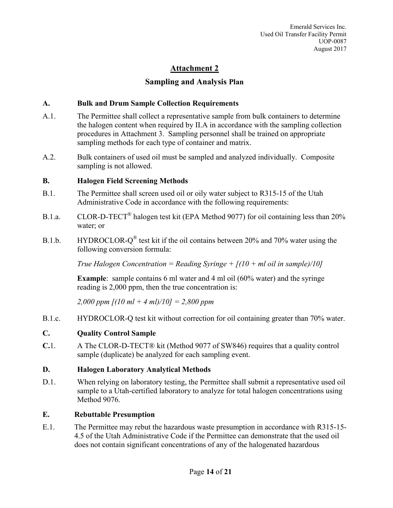# **Attachment 2 Sampling and Analysis Plan**

## **A. Bulk and Drum Sample Collection Requirements**

- A.1. The Permittee shall collect a representative sample from bulk containers to determine the halogen content when required by II.A in accordance with the sampling collection procedures in Attachment 3. Sampling personnel shall be trained on appropriate sampling methods for each type of container and matrix.
- A.2. Bulk containers of used oil must be sampled and analyzed individually. Composite sampling is not allowed.

#### **B. Halogen Field Screening Methods**

- B.1. The Permittee shall screen used oil or oily water subject to R315-15 of the Utah Administrative Code in accordance with the following requirements:
- B.1.a. CLOR-D-TECT<sup>®</sup> halogen test kit (EPA Method 9077) for oil containing less than 20% water; or
- B.1.b. HYDROCLOR- $Q^{\circledR}$  test kit if the oil contains between 20% and 70% water using the following conversion formula:

*True Halogen Concentration = Reading Syringe + [(10 + ml oil in sample)/10]*

**Example**: sample contains 6 ml water and 4 ml oil (60% water) and the syringe reading is 2,000 ppm, then the true concentration is:

*2,000 ppm [(10 ml + 4 ml)/10] = 2,800 ppm*

B.1.c. HYDROCLOR-Q test kit without correction for oil containing greater than 70% water.

# **C. Quality Control Sample**

**C.**1. A The CLOR-D-TECT® kit (Method 9077 of SW846) requires that a quality control sample (duplicate) be analyzed for each sampling event.

#### **D. Halogen Laboratory Analytical Methods**

D.1. When relying on laboratory testing, the Permittee shall submit a representative used oil sample to a Utah-certified laboratory to analyze for total halogen concentrations using Method 9076.

#### **E. Rebuttable Presumption**

E.1. The Permittee may rebut the hazardous waste presumption in accordance with R315-15- 4.5 of the Utah Administrative Code if the Permittee can demonstrate that the used oil does not contain significant concentrations of any of the halogenated hazardous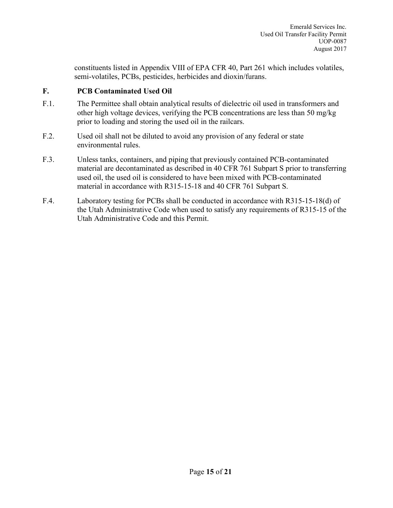constituents listed in Appendix VIII of EPA CFR 40, Part 261 which includes volatiles, semi-volatiles, PCBs, pesticides, herbicides and dioxin/furans.

## **F. PCB Contaminated Used Oil**

- F.1. The Permittee shall obtain analytical results of dielectric oil used in transformers and other high voltage devices, verifying the PCB concentrations are less than 50 mg/kg prior to loading and storing the used oil in the railcars.
- F.2. Used oil shall not be diluted to avoid any provision of any federal or state environmental rules.
- F.3. Unless tanks, containers, and piping that previously contained PCB-contaminated material are decontaminated as described in 40 CFR 761 Subpart S prior to transferring used oil, the used oil is considered to have been mixed with PCB-contaminated material in accordance with R315-15-18 and 40 CFR 761 Subpart S.
- F.4. Laboratory testing for PCBs shall be conducted in accordance with R315-15-18(d) of the Utah Administrative Code when used to satisfy any requirements of R315-15 of the Utah Administrative Code and this Permit.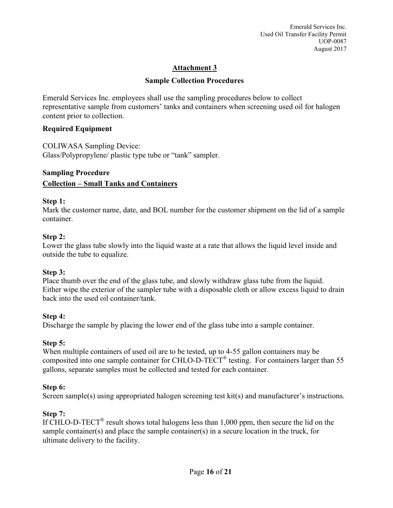#### **Sample Collection Procedures**

Emerald Services Inc. employees shall use the sampling procedures below to collect representative sample from customers' tanks and containers when screening used oil for halogen content prior to collection.

## **Required Equipment**

COLIWASA Sampling Device:

Glass/Polypropylene/ plastic type tube or "tank" sampler.

#### **Sampling Procedure**

## **Collection – Small Tanks and Containers**

#### **Step 1:**

Mark the customer name, date, and BOL number for the customer shipment on the lid of a sample container.

#### **Step 2:**

Lower the glass tube slowly into the liquid waste at a rate that allows the liquid level inside and outside the tube to equalize.

# **Step 3:**

Place thumb over the end of the glass tube, and slowly withdraw glass tube from the liquid. Either wipe the exterior of the sampler tube with a disposable cloth or allow excess liquid to drain back into the used oil container/tank.

# **Step 4:**

Discharge the sample by placing the lower end of the glass tube into a sample container.

# **Step 5:**

When multiple containers of used oil are to be tested, up to 4-55 gallon containers may be composited into one sample container for CHLO-D-TECT<sup>®</sup> testing. For containers larger than 55 gallons, separate samples must be collected and tested for each container.

# **Step 6:**

Screen sample(s) using appropriated halogen screening test kit(s) and manufacturer's instructions.

# **Step 7:**

If CHLO-D-TECT<sup>®</sup> result shows total halogens less than 1,000 ppm, then secure the lid on the sample container(s) and place the sample container(s) in a secure location in the truck, for ultimate delivery to the facility.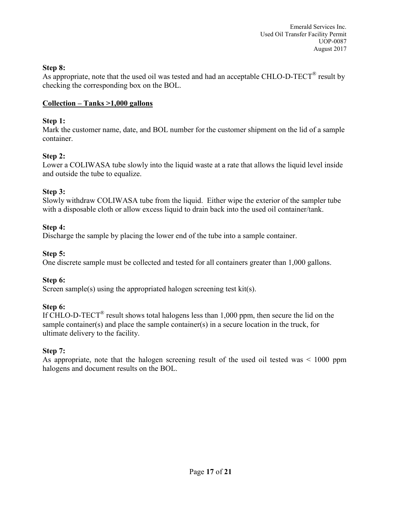## **Step 8:**

As appropriate, note that the used oil was tested and had an acceptable CHLO-D-TECT<sup>®</sup> result by checking the corresponding box on the BOL.

## **Collection – Tanks >1,000 gallons**

## **Step 1:**

Mark the customer name, date, and BOL number for the customer shipment on the lid of a sample container.

# **Step 2:**

Lower a COLIWASA tube slowly into the liquid waste at a rate that allows the liquid level inside and outside the tube to equalize.

## **Step 3:**

Slowly withdraw COLIWASA tube from the liquid. Either wipe the exterior of the sampler tube with a disposable cloth or allow excess liquid to drain back into the used oil container/tank.

## **Step 4:**

Discharge the sample by placing the lower end of the tube into a sample container.

## **Step 5:**

One discrete sample must be collected and tested for all containers greater than 1,000 gallons.

# **Step 6:**

Screen sample(s) using the appropriated halogen screening test kit(s).

# **Step 6:**

If CHLO-D-TECT<sup>®</sup> result shows total halogens less than 1,000 ppm, then secure the lid on the sample container(s) and place the sample container(s) in a secure location in the truck, for ultimate delivery to the facility.

# **Step 7:**

As appropriate, note that the halogen screening result of the used oil tested was < 1000 ppm halogens and document results on the BOL.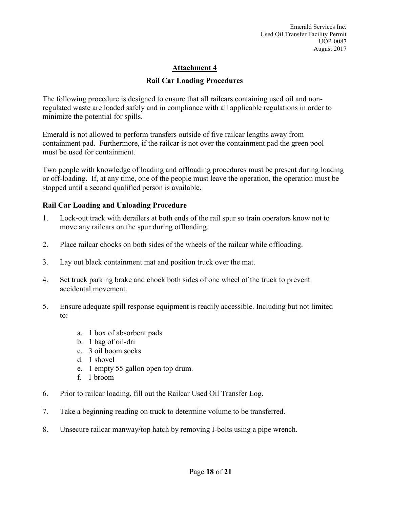#### **Rail Car Loading Procedures**

The following procedure is designed to ensure that all railcars containing used oil and nonregulated waste are loaded safely and in compliance with all applicable regulations in order to minimize the potential for spills.

Emerald is not allowed to perform transfers outside of five railcar lengths away from containment pad. Furthermore, if the railcar is not over the containment pad the green pool must be used for containment.

Two people with knowledge of loading and offloading procedures must be present during loading or off-loading. If, at any time, one of the people must leave the operation, the operation must be stopped until a second qualified person is available.

#### **Rail Car Loading and Unloading Procedure**

- 1. Lock-out track with derailers at both ends of the rail spur so train operators know not to move any railcars on the spur during offloading.
- 2. Place railcar chocks on both sides of the wheels of the railcar while offloading.
- 3. Lay out black containment mat and position truck over the mat.
- 4. Set truck parking brake and chock both sides of one wheel of the truck to prevent accidental movement.
- 5. Ensure adequate spill response equipment is readily accessible. Including but not limited to:
	- a. 1 box of absorbent pads
	- b. 1 bag of oil-dri
	- c. 3 oil boom socks
	- d. 1 shovel
	- e. 1 empty 55 gallon open top drum.
	- f. 1 broom
- 6. Prior to railcar loading, fill out the Railcar Used Oil Transfer Log.
- 7. Take a beginning reading on truck to determine volume to be transferred.
- 8. Unsecure railcar manway/top hatch by removing I-bolts using a pipe wrench.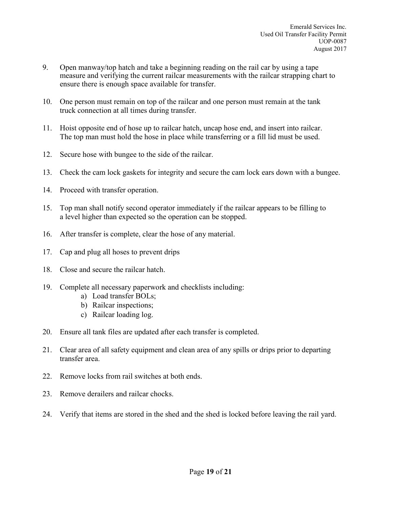- 9. Open manway/top hatch and take a beginning reading on the rail car by using a tape measure and verifying the current railcar measurements with the railcar strapping chart to ensure there is enough space available for transfer.
- 10. One person must remain on top of the railcar and one person must remain at the tank truck connection at all times during transfer.
- 11. Hoist opposite end of hose up to railcar hatch, uncap hose end, and insert into railcar. The top man must hold the hose in place while transferring or a fill lid must be used.
- 12. Secure hose with bungee to the side of the railcar.
- 13. Check the cam lock gaskets for integrity and secure the cam lock ears down with a bungee.
- 14. Proceed with transfer operation.
- 15. Top man shall notify second operator immediately if the railcar appears to be filling to a level higher than expected so the operation can be stopped.
- 16. After transfer is complete, clear the hose of any material.
- 17. Cap and plug all hoses to prevent drips
- 18. Close and secure the railcar hatch.
- 19. Complete all necessary paperwork and checklists including:
	- a) Load transfer BOLs;
	- b) Railcar inspections;
	- c) Railcar loading log.
- 20. Ensure all tank files are updated after each transfer is completed.
- 21. Clear area of all safety equipment and clean area of any spills or drips prior to departing transfer area.
- 22. Remove locks from rail switches at both ends.
- 23. Remove derailers and railcar chocks.
- 24. Verify that items are stored in the shed and the shed is locked before leaving the rail yard.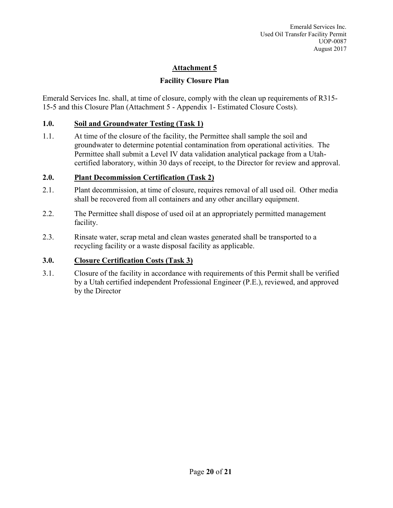# **Facility Closure Plan**

Emerald Services Inc. shall, at time of closure, comply with the clean up requirements of R315- 15-5 and this Closure Plan (Attachment 5 - Appendix 1- Estimated Closure Costs).

## **1.0. Soil and Groundwater Testing (Task 1)**

1.1. At time of the closure of the facility, the Permittee shall sample the soil and groundwater to determine potential contamination from operational activities. The Permittee shall submit a Level IV data validation analytical package from a Utahcertified laboratory, within 30 days of receipt, to the Director for review and approval.

## **2.0. Plant Decommission Certification (Task 2)**

- 2.1. Plant decommission, at time of closure, requires removal of all used oil. Other media shall be recovered from all containers and any other ancillary equipment.
- 2.2. The Permittee shall dispose of used oil at an appropriately permitted management facility.
- 2.3. Rinsate water, scrap metal and clean wastes generated shall be transported to a recycling facility or a waste disposal facility as applicable.

# **3.0. Closure Certification Costs (Task 3)**

3.1. Closure of the facility in accordance with requirements of this Permit shall be verified by a Utah certified independent Professional Engineer (P.E.), reviewed, and approved by the Director